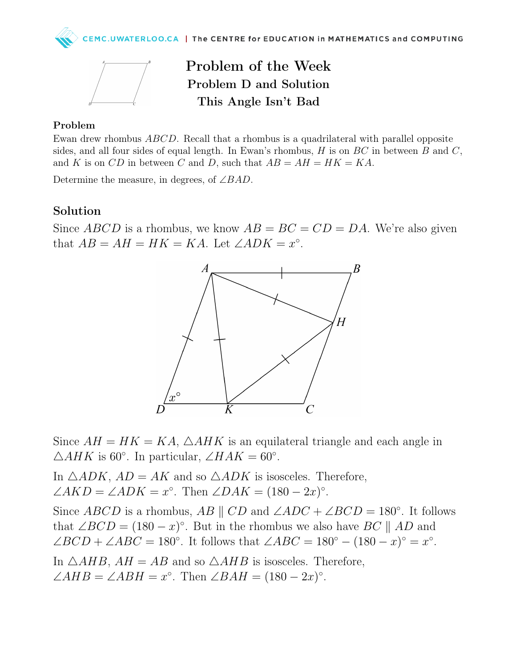



Problem of the Week Problem D and Solution This Angle Isn't Bad

## Problem

Ewan drew rhombus ABCD. Recall that a rhombus is a quadrilateral with parallel opposite sides, and all four sides of equal length. In Ewan's rhombus, H is on  $BC$  in between B and C, and K is on CD in between C and D, such that  $AB = AH = HK = KA$ .

Determine the measure, in degrees, of  $\angle BAD$ .

## Solution

Since ABCD is a rhombus, we know  $AB = BC = CD = DA$ . We're also given that  $AB = AH = HK = KA$ . Let  $\angle ADK = x^{\circ}$ .



Since  $AH = HK = KA$ ,  $\triangle AHK$  is an equilateral triangle and each angle in  $\triangle AHK$  is 60°. In particular,  $\angle HAK = 60^{\circ}$ .

In  $\triangle ADK$ ,  $AD = AK$  and so  $\triangle ADK$  is isosceles. Therefore,  $\angle AKD = \angle ADK = x^{\circ}$ . Then  $\angle DAK = (180 - 2x)^{\circ}$ .

Since ABCD is a rhombus, AB  $||CD$  and  $\angle ADC + \angle BCD = 180^\circ$ . It follows that  $\angle BCD = (180 - x)^\circ$ . But in the rhombus we also have  $BC \parallel AD$  and  $\angle BCD + \angle ABC = 180^\circ$ . It follows that  $\angle ABC = 180^\circ - (180 - x)^\circ = x^\circ$ . In  $\triangle AHB$ ,  $AH = AB$  and so  $\triangle AHB$  is isosceles. Therefore,

 $\angle AHB = \angle ABH = x^{\circ}$ . Then  $\angle BAH = (180 - 2x)^{\circ}$ .